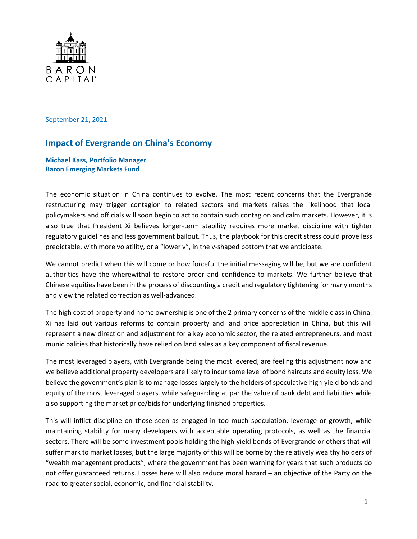

September 21, 2021

# **Impact of Evergrande on China's Economy**

**Michael Kass, Portfolio Manager Baron Emerging Markets Fund**

The economic situation in China continues to evolve. The most recent concerns that the Evergrande restructuring may trigger contagion to related sectors and markets raises the likelihood that local policymakers and officials will soon begin to act to contain such contagion and calm markets. However, it is also true that President Xi believes longer-term stability requires more market discipline with tighter regulatory guidelines and less government bailout. Thus, the playbook for this credit stress could prove less predictable, with more volatility, or a "lower v", in the v-shaped bottom that we anticipate.

We cannot predict when this will come or how forceful the initial messaging will be, but we are confident authorities have the wherewithal to restore order and confidence to markets. We further believe that Chinese equities have been in the process of discounting a credit and regulatory tightening for many months and view the related correction as well-advanced.

The high cost of property and home ownership is one of the 2 primary concerns of the middle class in China. Xi has laid out various reforms to contain property and land price appreciation in China, but this will represent a new direction and adjustment for a key economic sector, the related entrepreneurs, and most municipalities that historically have relied on land sales as a key component of fiscal revenue.

The most leveraged players, with Evergrande being the most levered, are feeling this adjustment now and we believe additional property developers are likely to incursome level of bond haircuts and equity loss. We believe the government's plan is to manage losses largely to the holders of speculative high-yield bonds and equity of the most leveraged players, while safeguarding at par the value of bank debt and liabilities while also supporting the market price/bids for underlying finished properties.

This will inflict discipline on those seen as engaged in too much speculation, leverage or growth, while maintaining stability for many developers with acceptable operating protocols, as well as the financial sectors. There will be some investment pools holding the high-yield bonds of Evergrande or others that will suffer mark to market losses, but the large majority of this will be borne by the relatively wealthy holders of "wealth management products", where the government has been warning for years that such products do not offer guaranteed returns. Losses here will also reduce moral hazard – an objective of the Party on the road to greater social, economic, and financial stability.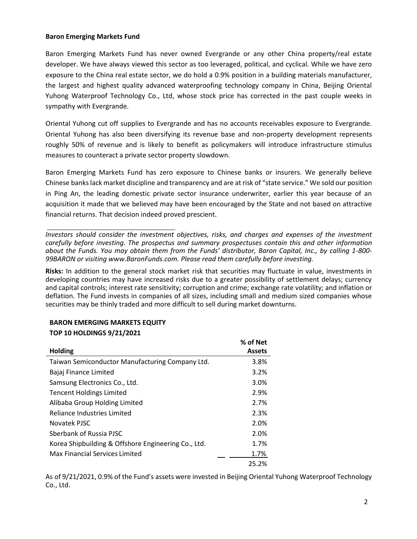#### **Baron Emerging Markets Fund**

Baron Emerging Markets Fund has never owned Evergrande or any other China property/real estate developer. We have always viewed this sector as too leveraged, political, and cyclical. While we have zero exposure to the China real estate sector, we do hold a 0.9% position in a building materials manufacturer, the largest and highest quality advanced waterproofing technology company in China, Beijing Oriental Yuhong Waterproof Technology Co., Ltd, whose stock price has corrected in the past couple weeks in sympathy with Evergrande.

Oriental Yuhong cut off supplies to Evergrande and has no accounts receivables exposure to Evergrande. Oriental Yuhong has also been diversifying its revenue base and non-property development represents roughly 50% of revenue and is likely to benefit as policymakers will introduce infrastructure stimulus measures to counteract a private sector property slowdown.

Baron Emerging Markets Fund has zero exposure to Chinese banks or insurers. We generally believe Chinese bankslack market discipline and transparency and are at risk of "state service." We sold our position in Ping An, the leading domestic private sector insurance underwriter, earlier this year because of an acquisition it made that we believed may have been encouraged by the State and not based on attractive financial returns. That decision indeed proved prescient.

*Investors should consider the investment objectives, risks, and charges and expenses of the investment carefully before investing. The prospectus and summary prospectuses contain this and other information about the Funds. You may obtain them from the Funds' distributor, Baron Capital, Inc., by calling 1-800- 99BARON or visiting [www.BaronFunds.com. P](http://www.baronfunds.com/)lease read them carefully before investing.*

**Risks:** In addition to the general stock market risk that securities may fluctuate in value, investments in developing countries may have increased risks due to a greater possibility of settlement delays; currency and capital controls; interest rate sensitivity; corruption and crime; exchange rate volatility; and inflation or deflation. The Fund invests in companies of all sizes, including small and medium sized companies whose securities may be thinly traded and more difficult to sell during market downturns.

# **BARON EMERGING MARKETS EQUITY**

#### **TOP 10 HOLDINGS 9/21/2021**

|                                                     | % of Net      |
|-----------------------------------------------------|---------------|
| <b>Holding</b>                                      | <b>Assets</b> |
| Taiwan Semiconductor Manufacturing Company Ltd.     | 3.8%          |
| Bajaj Finance Limited                               | 3.2%          |
| Samsung Electronics Co., Ltd.                       | 3.0%          |
| <b>Tencent Holdings Limited</b>                     | 2.9%          |
| Alibaba Group Holding Limited                       | 2.7%          |
| Reliance Industries Limited                         | 2.3%          |
| Novatek PJSC                                        | 2.0%          |
| Sberbank of Russia PJSC                             | 2.0%          |
| Korea Shipbuilding & Offshore Engineering Co., Ltd. | 1.7%          |
| Max Financial Services Limited                      | 1.7%          |
|                                                     | 25.2%         |

As of 9/21/2021, 0.9% of the Fund's assets were invested in Beijing Oriental Yuhong Waterproof Technology Co., Ltd.